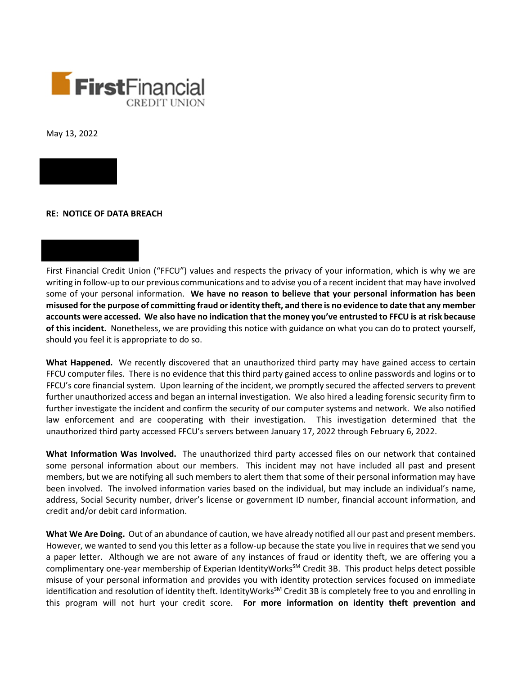

May 13, 2022



First Financial Credit Union ("FFCU") values and respects the privacy of your information, which is why we are writing in follow-up to our previous communications and to advise you of a recent incident that may have involved some of your personal information. **We have no reason to believe that your personal information has been misused for the purpose of committing fraud or identity theft, and there is no evidence to date that any member accounts were accessed. We also have no indication that the money you've entrusted to FFCU is at risk because of this incident.** Nonetheless, we are providing this notice with guidance on what you can do to protect yourself, should you feel it is appropriate to do so.

**What Happened.** We recently discovered that an unauthorized third party may have gained access to certain FFCU computer files. There is no evidence that this third party gained access to online passwords and logins or to FFCU's core financial system. Upon learning of the incident, we promptly secured the affected servers to prevent further unauthorized access and began an internal investigation. We also hired a leading forensic security firm to further investigate the incident and confirm the security of our computer systems and network. We also notified law enforcement and are cooperating with their investigation. This investigation determined that the unauthorized third party accessed FFCU's servers between January 17, 2022 through February 6, 2022.

**What Information Was Involved.** The unauthorized third party accessed files on our network that contained some personal information about our members. This incident may not have included all past and present members, but we are notifying all such members to alert them that some of their personal information may have been involved. The involved information varies based on the individual, but may include an individual's name, address, Social Security number, driver's license or government ID number, financial account information, and credit and/or debit card information.

**What We Are Doing.** Out of an abundance of caution, we have already notified all our past and present members. However, we wanted to send you this letter as a follow-up because the state you live in requires that we send you a paper letter. Although we are not aware of any instances of fraud or identity theft, we are offering you a complimentary one-year membership of Experian IdentityWorks<sup>SM</sup> Credit 3B. This product helps detect possible misuse of your personal information and provides you with identity protection services focused on immediate identification and resolution of identity theft. IdentityWorks<sup>SM</sup> Credit 3B is completely free to you and enrolling in this program will not hurt your credit score. **For more information on identity theft prevention and**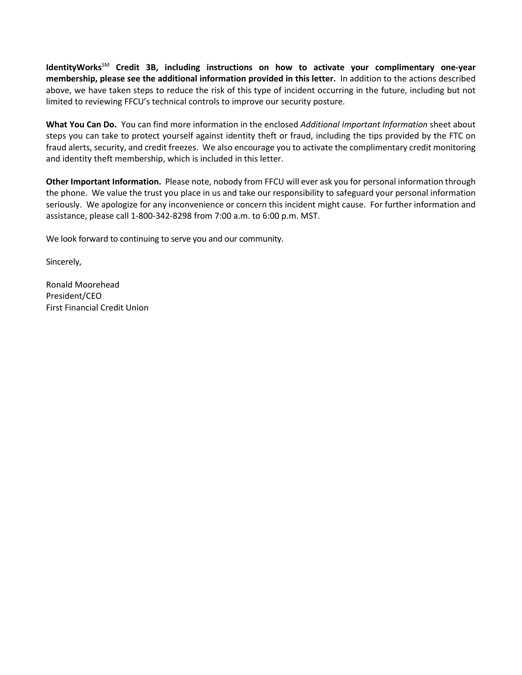**IdentityWorks**SM **Credit 3B, including instructions on how to activate your complimentary one-year membership, please see the additional information provided in this letter.** In addition to the actions described above, we have taken steps to reduce the risk of this type of incident occurring in the future, including but not limited to reviewing FFCU's technical controls to improve our security posture.

**What You Can Do.** You can find more information in the enclosed *Additional Important Information* sheet about steps you can take to protect yourself against identity theft or fraud, including the tips provided by the FTC on fraud alerts, security, and credit freezes. We also encourage you to activate the complimentary credit monitoring and identity theft membership, which is included in this letter.

**Other Important Information.** Please note, nobody from FFCU will ever ask you for personal information through the phone. We value the trust you place in us and take our responsibility to safeguard your personal information seriously. We apologize for any inconvenience or concern this incident might cause. For further information and assistance, please call 1-800-342-8298 from 7:00 a.m. to 6:00 p.m. MST.

We look forward to continuing to serve you and our community.

Sincerely,

Ronald Moorehead President/CEO First Financial Credit Union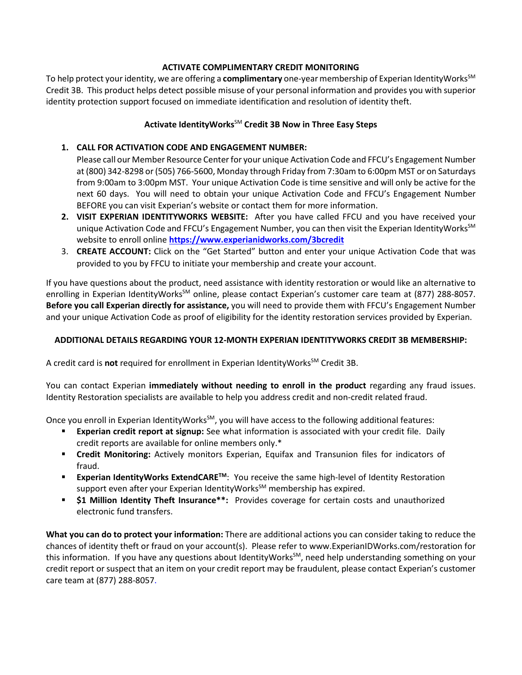## **ACTIVATE COMPLIMENTARY CREDIT MONITORING**

To help protect your identity, we are offering a **complimentary** one-year membership of Experian IdentityWorks<sup>SM</sup> Credit 3B. This product helps detect possible misuse of your personal information and provides you with superior identity protection support focused on immediate identification and resolution of identity theft.

# **Activate IdentityWorks**SM **Credit 3B Now in Three Easy Steps**

## **1. CALL FOR ACTIVATION CODE AND ENGAGEMENT NUMBER:**

Please call our Member Resource Center for your unique Activation Code and FFCU's Engagement Number at (800) 342-8298 or (505) 766-5600, Monday through Friday from 7:30am to 6:00pm MST or on Saturdays from 9:00am to 3:00pm MST. Your unique Activation Code is time sensitive and will only be active for the next 60 days. You will need to obtain your unique Activation Code and FFCU's Engagement Number BEFORE you can visit Experian's website or contact them for more information.

- **2. VISIT EXPERIAN IDENTITYWORKS WEBSITE:** After you have called FFCU and you have received your unique Activation Code and FFCU's Engagement Number, you can then visit the Experian IdentityWorks $^{5M}$ website to enroll online **https://www.experianidworks.com/3bcredit**
- 3. **CREATE ACCOUNT:** Click on the "Get Started" button and enter your unique Activation Code that was provided to you by FFCU to initiate your membership and create your account.

If you have questions about the product, need assistance with identity restoration or would like an alternative to enrolling in Experian IdentityWorks<sup>SM</sup> online, please contact Experian's customer care team at (877) 288-8057. **Before you call Experian directly for assistance,** you will need to provide them with FFCU's Engagement Number and your unique Activation Code as proof of eligibility for the identity restoration services provided by Experian.

#### **ADDITIONAL DETAILS REGARDING YOUR 12-MONTH EXPERIAN IDENTITYWORKS CREDIT 3B MEMBERSHIP:**

A credit card is **not** required for enrollment in Experian IdentityWorks<sup>SM</sup> Credit 3B.

You can contact Experian **immediately without needing to enroll in the product** regarding any fraud issues. Identity Restoration specialists are available to help you address credit and non-credit related fraud.

Once you enroll in Experian IdentityWorks<sup>SM</sup>, you will have access to the following additional features:

- **Experian credit report at signup:** See what information is associated with your credit file. Daily credit reports are available for online members only.\*
- **Credit Monitoring:** Actively monitors Experian, Equifax and Transunion files for indicators of fraud.
- Experian IdentityWorks ExtendCARE<sup>™</sup>: You receive the same high-level of Identity Restoration support even after your Experian IdentityWorks<sup>SM</sup> membership has expired.
- **\$1 Million Identity Theft Insurance\*\*:** Provides coverage for certain costs and unauthorized electronic fund transfers.

**What you can do to protect your information:** There are additional actions you can consider taking to reduce the chances of identity theft or fraud on your account(s). Please refer to www.ExperianIDWorks.com/restoration for this information. If you have any questions about IdentityWorks<sup>SM</sup>, need help understanding something on your credit report or suspect that an item on your credit report may be fraudulent, please contact Experian's customer care team at (877) 288-8057.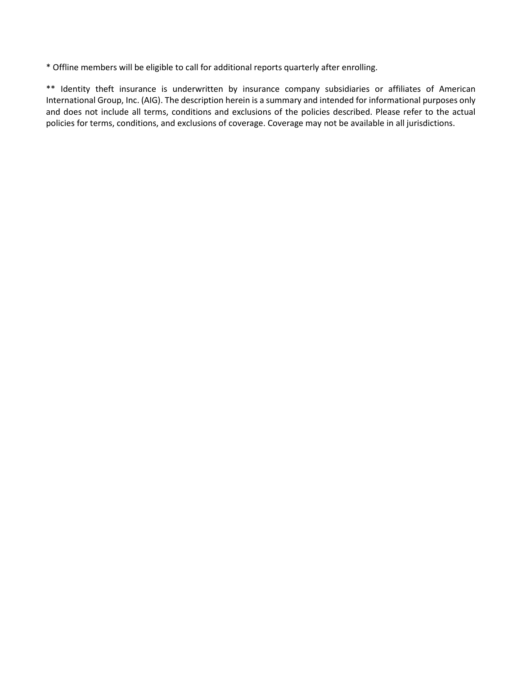\* Offline members will be eligible to call for additional reports quarterly after enrolling.

\*\* Identity theft insurance is underwritten by insurance company subsidiaries or affiliates of American International Group, Inc. (AIG). The description herein is a summary and intended for informational purposes only and does not include all terms, conditions and exclusions of the policies described. Please refer to the actual policies for terms, conditions, and exclusions of coverage. Coverage may not be available in all jurisdictions.